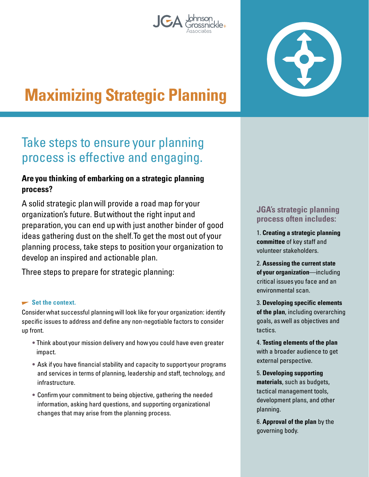# **Maximizing Strategic Planning**

## Take steps to ensure your planning process is effective and engaging.

### **Are you thinking of embarking on a strategic planning process?**

A solid strategic plan will provide a road map for your organization's future. But without the right input and preparation, you can end up with just another binder of good ideas gathering dust on the shelf. To get the most out of your planning process, take steps to position your organization to develop an inspired and actionable plan.

Three steps to prepare for strategic planning:

#### **Set the context.**

Consider what successful planning will look like for your organization: identify specific issues to address and define any non-negotiable factors to consider up front.

- Think about your mission delivery and how you could have even greater impact.
- Ask if you have financial stability and capacity to support your programs and services in terms of planning, leadership and staff, technology, and infrastructure.
- Confirm your commitment to being objective, gathering the needed information, asking hard questions, and supporting organizational changes that may arise from the planning process.

#### **JGA's strategic planning process often includes:**

1. **Creating a strategic planning committee** of key staff and volunteer stakeholders.

2. **Assessing the current state of your organization**—including critical issues you face and an environmental scan.

3. **Developing specific elements of the plan**, including overarching goals, as well as objectives and tactics.

4. **Testing elements of the plan** with a broader audience to get external perspective.

5. **Developing supporting materials**, such as budgets, tactical management tools, development plans, and other planning.

6. **Approval of the plan** by the governing body.